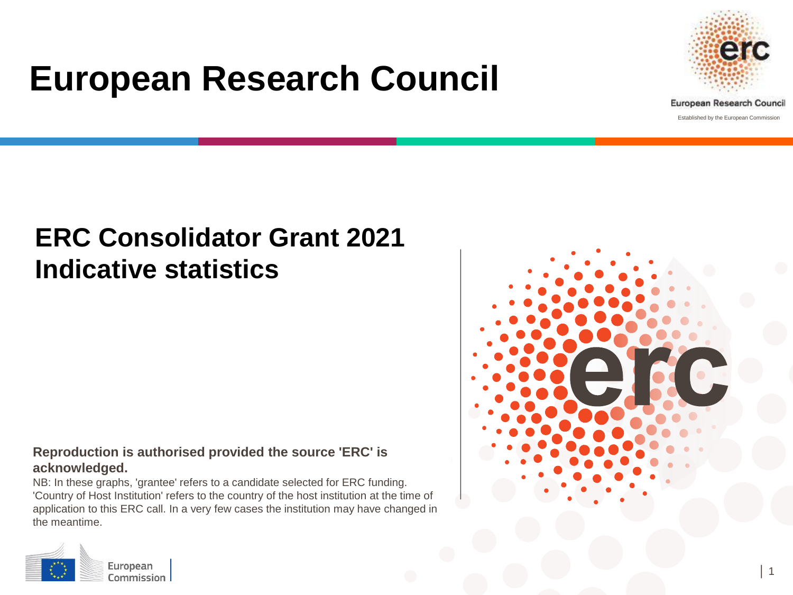# **European Research Council**



Established by the European Commission

## **ERC Consolidator Grant 2021 Indicative statistics**

#### **Reproduction is authorised provided the source 'ERC' is acknowledged.**

NB: In these graphs, 'grantee' refers to a candidate selected for ERC funding. 'Country of Host Institution' refers to the country of the host institution at the time of application to this ERC call. In a very few cases the institution may have changed in the meantime.



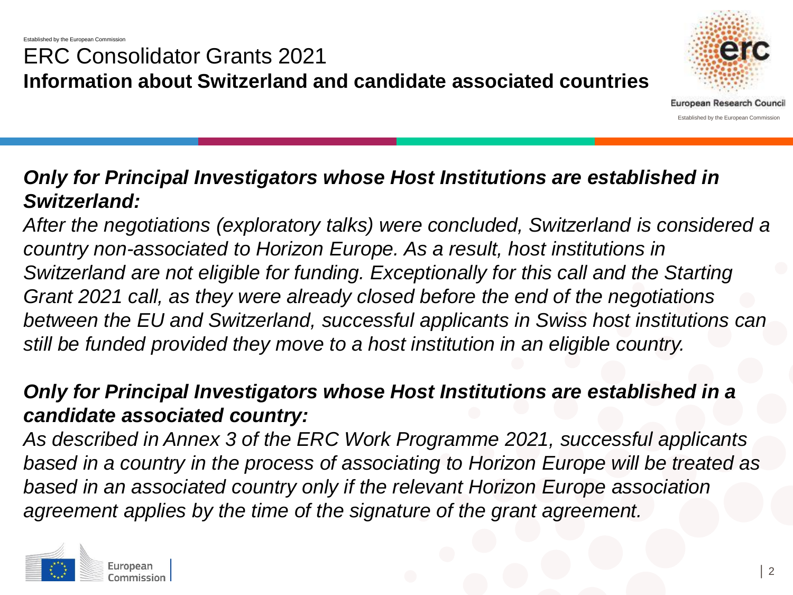## ERC Consolidator Grants 2021 **Information about Switzerland and candidate associated countries**



#### *Only for Principal Investigators whose Host Institutions are established in Switzerland:*

*After the negotiations (exploratory talks) were concluded, Switzerland is considered a country non-associated to Horizon Europe. As a result, host institutions in Switzerland are not eligible for funding. Exceptionally for this call and the Starting Grant 2021 call, as they were already closed before the end of the negotiations between the EU and Switzerland, successful applicants in Swiss host institutions can still be funded provided they move to a host institution in an eligible country.*

#### *Only for Principal Investigators whose Host Institutions are established in a candidate associated country:*

*As described in Annex 3 of the ERC Work Programme 2021, successful applicants based in a country in the process of associating to Horizon Europe will be treated as based in an associated country only if the relevant Horizon Europe association agreement applies by the time of the signature of the grant agreement.*

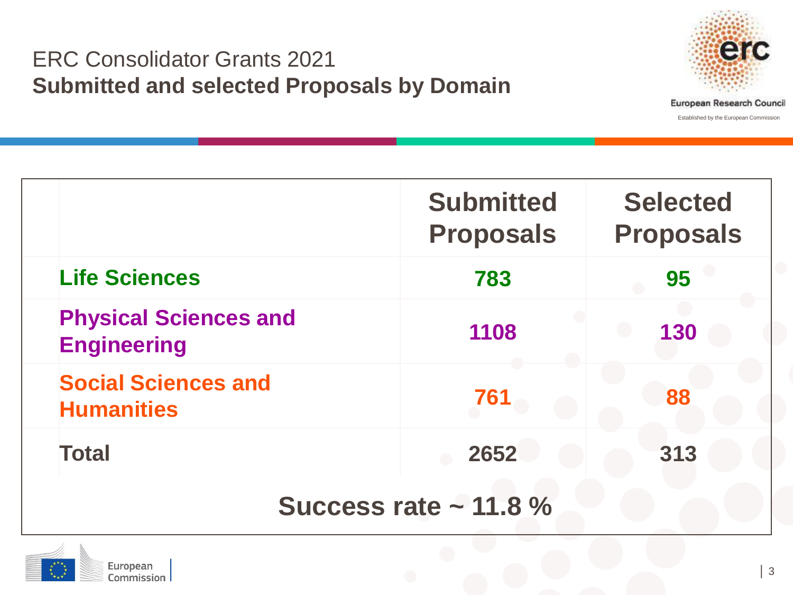#### ERC Consolidator Grants 2021 **Submitted and selected Proposals by Domain**



|                                                    | <b>Submitted</b><br><b>Proposals</b> | <b>Selected</b><br><b>Proposals</b> |  |  |
|----------------------------------------------------|--------------------------------------|-------------------------------------|--|--|
| <b>Life Sciences</b>                               | 783                                  | 95                                  |  |  |
| <b>Physical Sciences and</b><br><b>Engineering</b> | 1108                                 | 130                                 |  |  |
| <b>Social Sciences and</b><br><b>Humanities</b>    | 761                                  | 88                                  |  |  |
| <b>Total</b>                                       | 2652                                 | 313                                 |  |  |
| Success rate $\sim$ 11.8 %                         |                                      |                                     |  |  |

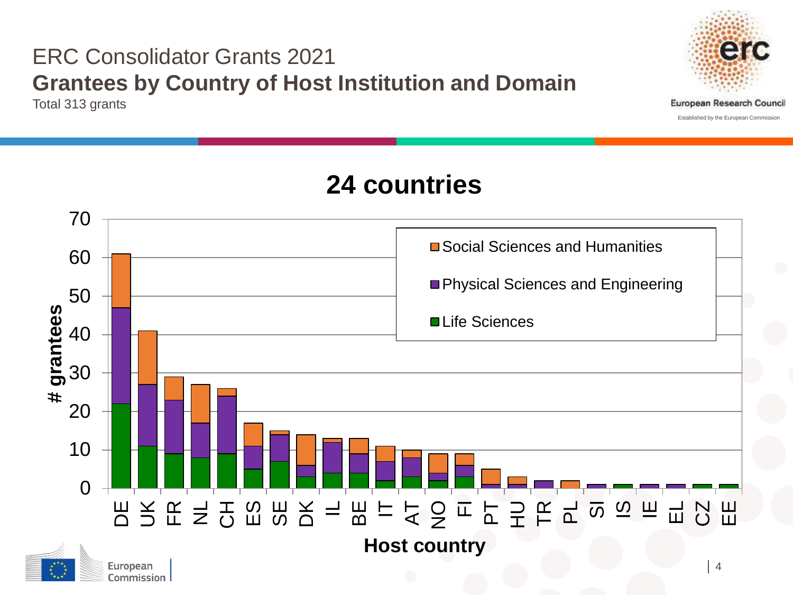## ERC Consolidator Grants 2021 **Grantees by Country of Host Institution and Domain**

Total 313 grants



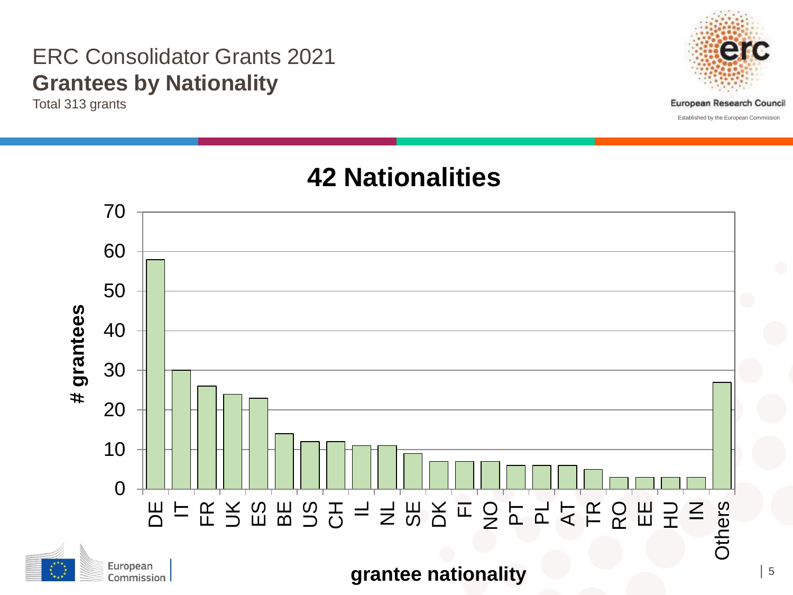#### ERC Consolidator Grants 2021 **Grantees by Nationality**

Total 313 grants



Established by the European Commission

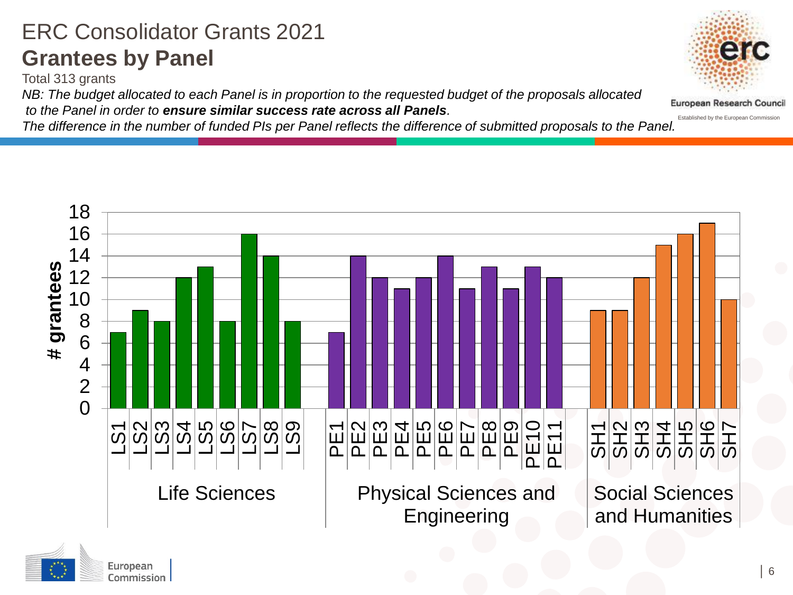## ERC Consolidator Grants 2021 **Grantees by Panel**

Commission

Total 313 grants

*NB: The budget allocated to each Panel is in proportion to the requested budget of the proposals allocated to the Panel in order to ensure similar success rate across all Panels.* 

*The difference in the number of funded PIs per Panel reflects the difference of submitted proposals to the Panel.*





Established by the European Commission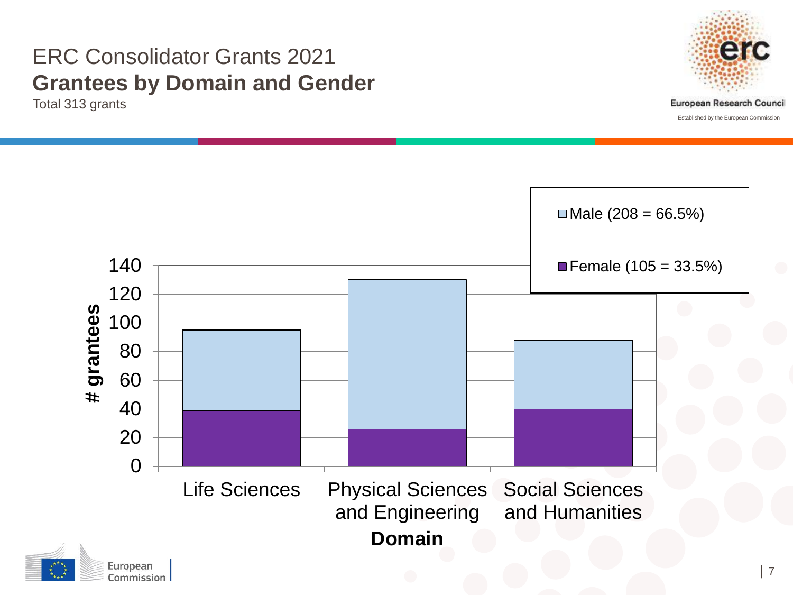#### ERC Consolidator Grants 2021 **Grantees by Domain and Gender**

Total 313 grants

Commission



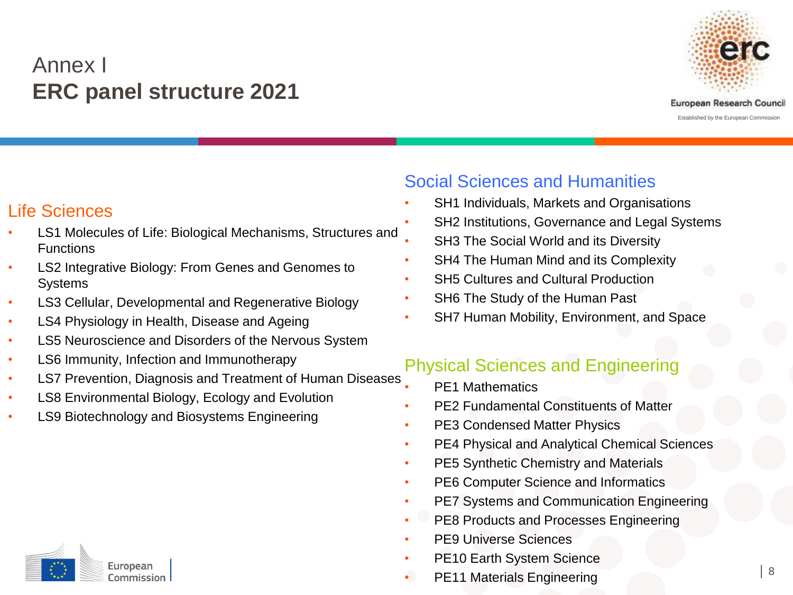#### Annex I **ERC panel structure 2021**



#### Life Sciences

- LS1 Molecules of Life: Biological Mechanisms, Structures and Functions
- LS2 Integrative Biology: From Genes and Genomes to **Systems**
- LS3 Cellular, Developmental and Regenerative Biology
- LS4 Physiology in Health, Disease and Ageing
- LS5 Neuroscience and Disorders of the Nervous System
- LS6 Immunity, Infection and Immunotherapy
- LS7 Prevention, Diagnosis and Treatment of Human Diseases
- LS8 Environmental Biology, Ecology and Evolution
- LS9 Biotechnology and Biosystems Engineering



#### Social Sciences and Humanities

- SH1 Individuals, Markets and Organisations
- SH2 Institutions, Governance and Legal Systems
- SH3 The Social World and its Diversity
- SH4 The Human Mind and its Complexity
- **SH5 Cultures and Cultural Production**
- SH6 The Study of the Human Past
- SH7 Human Mobility, Environment, and Space

#### Physical Sciences and Engineering

- PF1 Mathematics
- PE2 Fundamental Constituents of Matter
- PE3 Condensed Matter Physics
- PE4 Physical and Analytical Chemical Sciences
- PE5 Synthetic Chemistry and Materials
- PE6 Computer Science and Informatics
- PE7 Systems and Communication Engineering
- PE8 Products and Processes Engineering
- PE9 Universe Sciences
- PE10 Earth System Science
- PE11 Materials Engineering │ <sup>8</sup>